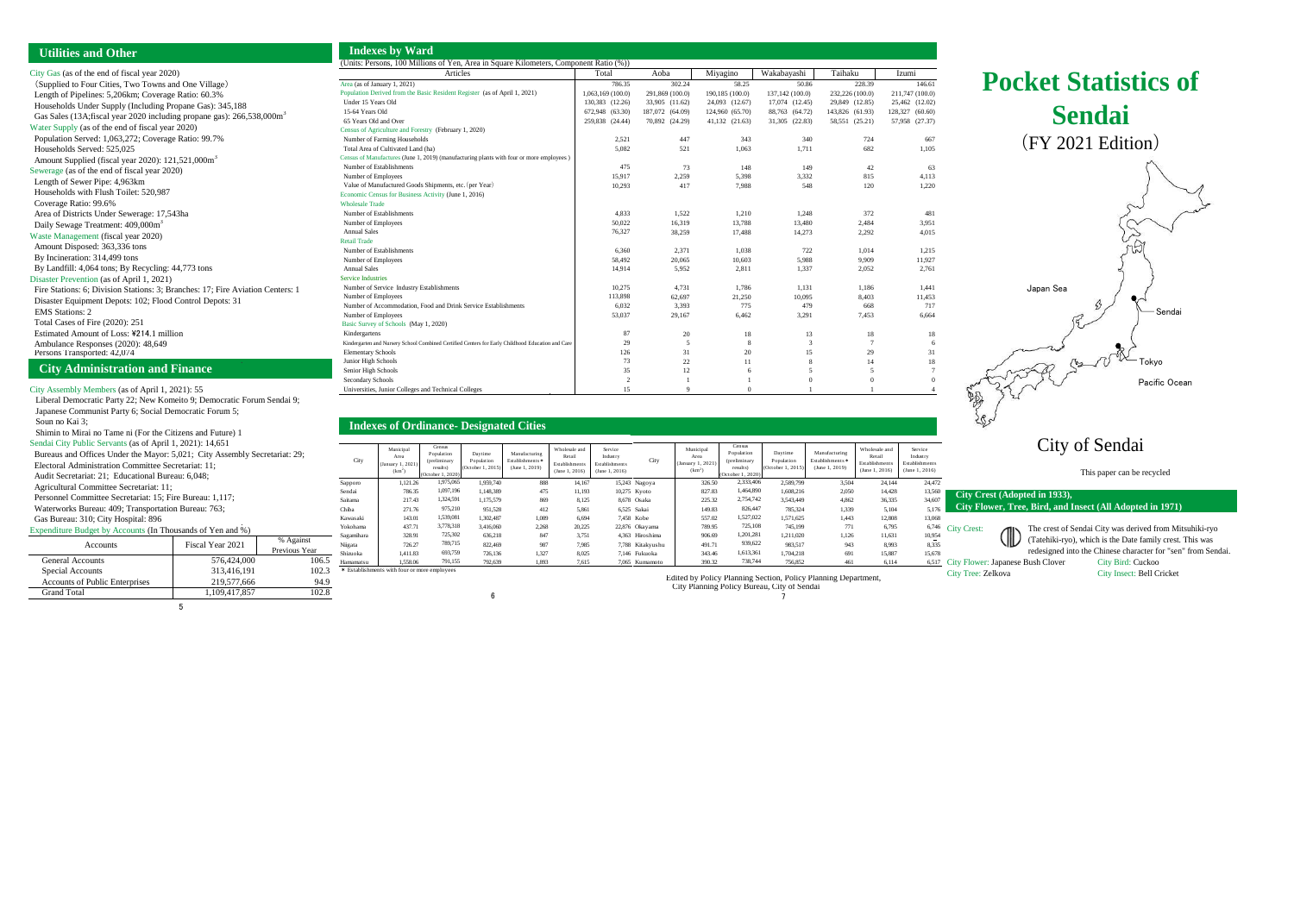| City Crest (Adopted in 1933),<br>City Flower, Tree, Bird, and Insect (All Adopted in 1971) |                         |                                                                                                                                                                                     |  |  |  |
|--------------------------------------------------------------------------------------------|-------------------------|-------------------------------------------------------------------------------------------------------------------------------------------------------------------------------------|--|--|--|
| <b>City Crest:</b>                                                                         | $\langle \Vert \rangle$ | The crest of Sendai City was derived from Mitsuhiki-ryo<br>(Tatehiki-ryo), which is the Date family crest. This was<br>redesigned into the Chinese character for "sen" from Sendai. |  |  |  |

| <b>Pocket Statistics of</b>                   |
|-----------------------------------------------|
| <b>Sendai</b>                                 |
| (FY 2021 Edition)                             |
| Japan Sea<br>Sendai<br>Tokyo<br>Pacific Ocean |
| <b>City of Sendai</b>                         |
| This paper can be recycled                    |

City Tree: Zelkova City Insect: Bell Cricket

City Gas (as of the end of fiscal year 2020) (Supplied to Four Cities, Two Towns and One Village) Length of Pipelines: 5,206km; Coverage Ratio: 60.3% Households Under Supply (Including Propane Gas): 345,188 Gas Sales (13A;fiscal year 2020 including propane gas): 266,538,000m<sup>3</sup> Water Supply (as of the end of fiscal year 2020) Population Served: 1,063,272; Coverage Ratio: 99.7% Households Served: 525,025 Amount Supplied (fiscal year 2020): 121,521,000m<sup>3</sup> Sewerage (as of the end of fiscal year 2020) Length of Sewer Pipe: 4,963km Households with Flush Toilet: 520,987 Coverage Ratio: 99.6% Area of Districts Under Sewerage: 17,543ha Daily Sewage Treatment: 409,000m<sup>3</sup> Waste Management (fiscal year 2020) Amount Disposed: 363,336 tons By Incineration: 314,499 tons By Landfill: 4,064 tons; By Recycling: 44,773 tons Disaster Prevention (as of April 1, 2021) Fire Stations: 6; Division Stations: 3; Branches: 17; Fire Aviation Centers: 1 Disaster Equipment Depots: 102; Flood Control Depots: 31 EMS Stations: 2 Total Cases of Fire (2020): 251 Estimated Amount of Loss: \214.1 million Ambulance Responses (2020): 48,649 Persons Transported:  $42,074$ 

City Assembly Members (as of April 1, 2021): 55 Liberal Democratic Party 22; New Komeito 9; Democratic Forum Sendai 9; Japanese Communist Party 6; Social Democratic Forum 5; Soun no Kai 3; Shimin to Mirai no Tame ni (For the Citizens and Future) 1 Sendai City Public Servants (as of April 1, 2021): 14,651 Bureaus and Offices Under the Mayor: 5,021; City Assembly Secretariat: 29; Electoral Administration Committee Secretariat: 11; Audit Secretariat: 21; Educational Bureau: 6,048; Agricultural Committee Secretariat: 11; Personnel Committee Secretariat: 15; Fire Bureau: 1,117; Waterworks Bureau: 409; Transportation Bureau: 763; Gas Bureau: 310; City Hospital: 896 Expenditure Budget by Accounts (In Thousands of Yen and %) General Accounts Special Accounts Accounts Fiscal Year 2021 % Against Previous Year 576,424,000 313,416,191

Accounts of Public Enterprises

Grand Total

# **Utilities and Other**

## **City Administration and Finance**

106.5

102.3 94.9 102.8

219,577,666 1,109,417,857

6

## **Indexes of Ordinance- Designated Cities**

| <b>Indexes by Ward</b> |  |
|------------------------|--|
|------------------------|--|

| <b>ITTUCALS DY VVALU</b>                                                                          |                   |                 |                 |                 |                 |                 |  |
|---------------------------------------------------------------------------------------------------|-------------------|-----------------|-----------------|-----------------|-----------------|-----------------|--|
| (Units: Persons, 100 Millions of Yen, Area in Square Kilometers, Component Ratio (%))             |                   |                 |                 |                 |                 |                 |  |
| Articles                                                                                          | Total             | Aoba            | Miyagino        | Wakabayashi     | Taihaku         | Izumi           |  |
| Area (as of January 1, 2021)                                                                      | 786.35            | 302.24          | 58.25           | 50.86           | 228.39          | 146.61          |  |
| Population Derived from the Basic Resident Register (as of April 1, 2021)                         | 1,063,169 (100.0) | 291,869 (100.0) | 190,185 (100.0) | 137,142 (100.0) | 232,226 (100.0) | 211,747 (100.0) |  |
| Under 15 Years Old                                                                                | 130,383 (12.26)   | 33,905 (11.62)  | 24,093 (12.67)  | 17,074 (12.45)  | 29,849 (12.85)  | 25,462 (12.02)  |  |
| 15-64 Years Old                                                                                   | 672,948 (63.30)   | 187,072 (64.09) | 124,960 (65.70) | 88,763 (64.72)  | 143,826 (61.93) | 128,327 (60.60) |  |
| 65 Years Old and Over                                                                             | 259,838 (24.44)   | 70,892 (24.29)  | 41,132 (21.63)  | 31,305 (22.83)  | 58,551 (25.21)  | 57,958 (27.37)  |  |
| Census of Agriculture and Forestry (February 1, 2020)                                             |                   |                 |                 |                 |                 |                 |  |
| Number of Farming Households                                                                      | 2,521             | 447             | 343             | 340             | 724             | 667             |  |
| Total Area of Cultivated Land (ha)                                                                | 5,082             | 521             | 1,063           | 1,711           | 682             | 1,105           |  |
| Census of Manufactures (June 1, 2019) (manufacturing plants with four or more employees)          |                   |                 |                 |                 |                 |                 |  |
| Number of Establishments                                                                          | 475               | 73              | 148             | 149             | 42              | 63              |  |
| Number of Employees                                                                               | 15,917            | 2,259           | 5,398           | 3,332           | 815             | 4,113           |  |
| Value of Manufactured Goods Shipments, etc. (per Year)                                            | 10,293            | 417             | 7,988           | 548             | 120             | 1,220           |  |
| Economic Census for Business Activity (June 1, 2016)                                              |                   |                 |                 |                 |                 |                 |  |
| <b>Wholesale Trade</b>                                                                            |                   |                 |                 |                 |                 |                 |  |
| Number of Establishments                                                                          | 4,833             | 1,522           | 1,210           | 1,248           | 372             | 481             |  |
| Number of Employees                                                                               | 50,022            | 16,319          | 13,788          | 13,480          | 2,484           | 3,951           |  |
| <b>Annual Sales</b>                                                                               | 76,327            | 38,259          | 17,488          | 14,273          | 2,292           | 4,015           |  |
| <b>Retail Trade</b>                                                                               |                   |                 |                 |                 |                 |                 |  |
| Number of Establishments                                                                          | 6,360             | 2,371           | 1,038           | 722             | 1,014           | 1,215           |  |
| Number of Employees                                                                               | 58,492            | 20,065          | 10,603          | 5,988           | 9,909           | 11,927          |  |
| <b>Annual Sales</b>                                                                               | 14,914            | 5,952           | 2,811           | 1,337           | 2,052           | 2,761           |  |
| <b>Service Industries</b>                                                                         |                   |                 |                 |                 |                 |                 |  |
| Number of Service Industry Establishments                                                         | 10,275            | 4,731           | 1,786           | 1,131           | 1,186           | 1,441           |  |
| Number of Employees                                                                               | 113,898           | 62,697          | 21,250          | 10,095          | 8,403           | 11,453          |  |
| Number of Accommodation, Food and Drink Service Establishments                                    | 6,032             | 3,393           | 775             | 479             | 668             | 717             |  |
| Number of Employees                                                                               | 53,037            | 29,167          | 6,462           | 3,291           | 7,453           | 6,664           |  |
| Basic Survey of Schools (May 1, 2020)                                                             |                   |                 |                 |                 |                 |                 |  |
| Kindergartens                                                                                     | 87                | 20              | 18              | 13              | 18              | 18              |  |
| Kindergarten and Nursery School Combined Certified Centers for Early Childhood Education and Care | 29                | 5               | 8               | 3               | $7\phantom{.0}$ | 6               |  |
| <b>Elementary Schools</b>                                                                         | 126               | 31              | 20              | 15              | 29              | 31              |  |
| Junior High Schools                                                                               | 73                | 22              | 11              | 8               | 14              | 18              |  |
| Senior High Schools                                                                               | 35                | 12              | 6               | 5               | 5               | $7\phantom{.0}$ |  |
| Secondary Schools                                                                                 | 2                 |                 |                 | $\overline{0}$  | $\Omega$        | $\overline{0}$  |  |
| Universities, Junior Colleges and Technical Colleges                                              | 15                | $\mathbf Q$     | $\Omega$        |                 |                 | 4               |  |

Edited by Policy Planning Section, Policy Planning Department,

City Planning Policy Bureau, City of Sendai

17 City Flower: Japanese Bush Clover City Bird: Cuckoo

7

|            |                                                              |                                                                       | $\bullet$                                  |                                                     |                                                             |                                                         |                  |                                                    |                                                                       |                                            |                                                     |                                                             |                                                         |
|------------|--------------------------------------------------------------|-----------------------------------------------------------------------|--------------------------------------------|-----------------------------------------------------|-------------------------------------------------------------|---------------------------------------------------------|------------------|----------------------------------------------------|-----------------------------------------------------------------------|--------------------------------------------|-----------------------------------------------------|-------------------------------------------------------------|---------------------------------------------------------|
|            |                                                              |                                                                       |                                            |                                                     |                                                             |                                                         |                  |                                                    |                                                                       |                                            |                                                     |                                                             |                                                         |
| City       | Municipal<br>Area<br>(January 1, 2021)<br>(km <sup>2</sup> ) | Census<br>Population<br>(preliminary<br>results)<br>(October 1, 2020) | Daytime<br>Population<br>(October 1, 2015) | Manufacturing<br>Establishments *<br>(June 1, 2019) | Wholesale and<br>Retail<br>Establishments<br>(June 1, 2016) | Service<br>Industry<br>Establishments<br>(June 1, 2016) | City             | Municipal<br>Area<br>(January 1, 2021)<br>$(km^2)$ | Census<br>Population<br>(preliminary<br>results)<br>(October 1, 2020) | Daytime<br>Population<br>(October 1, 2015) | Manufacturing<br>Establishments *<br>(June 1, 2019) | Wholesale and<br>Retail<br>Establishments<br>(June 1, 2016) | Service<br>Industry<br>Establishments<br>(June 1, 2016) |
| Sapporo    | 1,121.26                                                     | 1,975,065                                                             | 1,959,740                                  | 888                                                 | 14,167                                                      |                                                         | 15,243 Nagoya    | 326.50                                             | 2,333,406                                                             | 2,589,799                                  | 3,504                                               | 24,144                                                      | 24,472                                                  |
| Sendai     | 786.35                                                       | 1,097,196                                                             | 1,148,389                                  | 475                                                 | 11,193                                                      |                                                         | 10,275 Kyoto     | 827.83                                             | 1,464,890                                                             | 1,608,216                                  | 2,050                                               | 14,428                                                      | 13,560                                                  |
| Saitama    | 217.43                                                       | 1,324,591                                                             | 1,175,579                                  | 869                                                 | 8,125                                                       |                                                         | 8,678 Osaka      | 225.32                                             | 2,754,742                                                             | 3,543,449                                  | 4,862                                               | 36,335                                                      | 34,607                                                  |
| Chiba      | 271.76                                                       | 975,210                                                               | 951,528                                    | 412                                                 | 5,861                                                       |                                                         | 6,525 Sakai      | 149.83                                             | 826,447                                                               | 785,324                                    | 1,339                                               | 5,104                                                       | 5,176                                                   |
| Kawasaki   | 143.01                                                       | 1,539,081                                                             | 1,302,487                                  | 1,089                                               | 6,694                                                       |                                                         | 7,458 Kobe       | 557.02                                             | 1,527,022                                                             | 1,571,625                                  | 1,443                                               | 12,808                                                      | 13,068                                                  |
| Yokohama   | 437.71                                                       | 3,778,318                                                             | 3,416,060                                  | 2,268                                               | 20,225                                                      |                                                         | 22,876 Okayama   | 789.95                                             | 725,108                                                               | 745,199                                    | 771                                                 | 6,795                                                       | 6,746                                                   |
| Sagamihara | 328.91                                                       | 725,302                                                               | 636,218                                    | 847                                                 | 3,751                                                       |                                                         | 4,363 Hiroshima  | 906.69                                             | 1,201,281                                                             | 1,211,020                                  | 1,126                                               | 11,631                                                      | 10,954                                                  |
| Niigata    | 726.27                                                       | 789,715                                                               | 822,469                                    | 987                                                 | 7,985                                                       |                                                         | 7,788 Kitakyushu | 491.71                                             | 939,622                                                               | 983,517                                    | 943                                                 | 8,993                                                       | 8,335                                                   |
| Shizuoka   | 1,411.83                                                     | 693,759                                                               | 726,136                                    | 1,327                                               | 8,025                                                       |                                                         | 7,146 Fukuoka    | 343.46                                             | 1,613,361                                                             | 1,704,218                                  | 691                                                 | 15,887                                                      | 15,678                                                  |
| Hamamatsu  | 1,558.06                                                     | 791,155                                                               | 792,639                                    | 1,893                                               | 7,615                                                       |                                                         | 7,065 Kumamoto   | 390.32                                             | 738,744                                                               | 756,852                                    | 461                                                 | 6,114                                                       | 6,517                                                   |
|            | * Establishments with four or more employees                 |                                                                       |                                            |                                                     |                                                             |                                                         |                  |                                                    |                                                                       |                                            |                                                     |                                                             |                                                         |